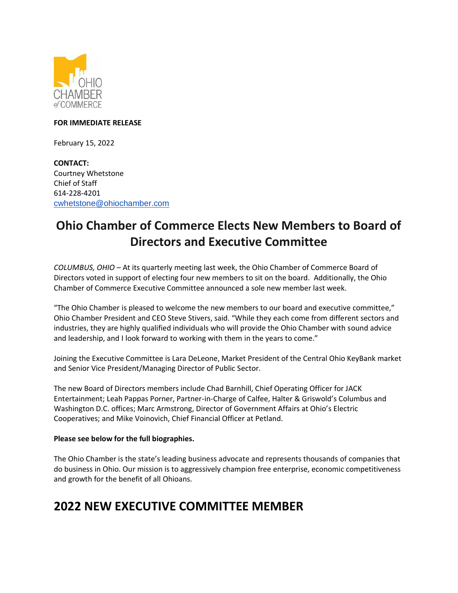

#### **FOR IMMEDIATE RELEASE**

February 15, 2022

**CONTACT:** Courtney Whetstone Chief of Staff 614-228-4201 [cwhetstone@ohiochamber.com](mailto:cwhetstone@ohiochamber.com)

# **Ohio Chamber of Commerce Elects New Members to Board of Directors and Executive Committee**

*COLUMBUS, OHIO* – At its quarterly meeting last week, the Ohio Chamber of Commerce Board of Directors voted in support of electing four new members to sit on the board. Additionally, the Ohio Chamber of Commerce Executive Committee announced a sole new member last week.

"The Ohio Chamber is pleased to welcome the new members to our board and executive committee," Ohio Chamber President and CEO Steve Stivers, said. "While they each come from different sectors and industries, they are highly qualified individuals who will provide the Ohio Chamber with sound advice and leadership, and I look forward to working with them in the years to come."

Joining the Executive Committee is Lara DeLeone, Market President of the Central Ohio KeyBank market and Senior Vice President/Managing Director of Public Sector.

The new Board of Directors members include Chad Barnhill, Chief Operating Officer for JACK Entertainment; Leah Pappas Porner, Partner-in-Charge of Calfee, Halter & Griswold's Columbus and Washington D.C. offices; Marc Armstrong, Director of Government Affairs at Ohio's Electric Cooperatives; and Mike Voinovich, Chief Financial Officer at Petland.

#### **Please see below for the full biographies.**

The Ohio Chamber is the state's leading business advocate and represents thousands of companies that do business in Ohio. Our mission is to aggressively champion free enterprise, economic competitiveness and growth for the benefit of all Ohioans.

### **2022 NEW EXECUTIVE COMMITTEE MEMBER**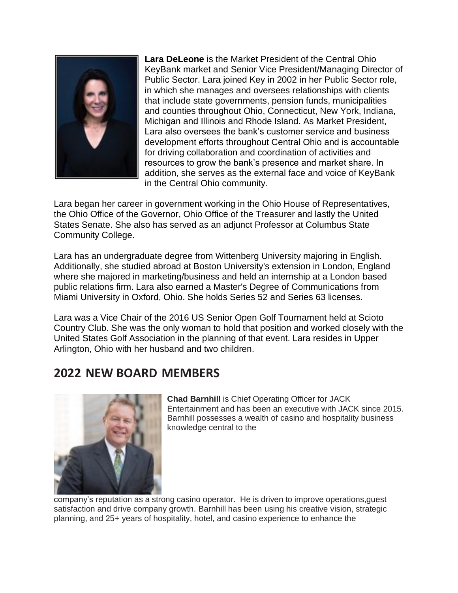

**Lara DeLeone** is the Market President of the Central Ohio KeyBank market and Senior Vice President/Managing Director of Public Sector. Lara joined Key in 2002 in her Public Sector role, in which she manages and oversees relationships with clients that include state governments, pension funds, municipalities and counties throughout Ohio, Connecticut, New York, Indiana, Michigan and Illinois and Rhode Island. As Market President, Lara also oversees the bank's customer service and business development efforts throughout Central Ohio and is accountable for driving collaboration and coordination of activities and resources to grow the bank's presence and market share. In addition, she serves as the external face and voice of KeyBank in the Central Ohio community.

Lara began her career in government working in the Ohio House of Representatives, the Ohio Office of the Governor, Ohio Office of the Treasurer and lastly the United States Senate. She also has served as an adjunct Professor at Columbus State Community College.

Lara has an undergraduate degree from Wittenberg University majoring in English. Additionally, she studied abroad at Boston University's extension in London, England where she majored in marketing/business and held an internship at a London based public relations firm. Lara also earned a Master's Degree of Communications from Miami University in Oxford, Ohio. She holds Series 52 and Series 63 licenses.

Lara was a Vice Chair of the 2016 US Senior Open Golf Tournament held at Scioto Country Club. She was the only woman to hold that position and worked closely with the United States Golf Association in the planning of that event. Lara resides in Upper Arlington, Ohio with her husband and two children.

## **2022 NEW BOARD MEMBERS**



**Chad Barnhill** is Chief Operating Officer for JACK Entertainment and has been an executive with JACK since 2015. Barnhill possesses a wealth of casino and hospitality business knowledge central to the

company's reputation as a strong casino operator. He is driven to improve operations,guest satisfaction and drive company growth. Barnhill has been using his creative vision, strategic planning, and 25+ years of hospitality, hotel, and casino experience to enhance the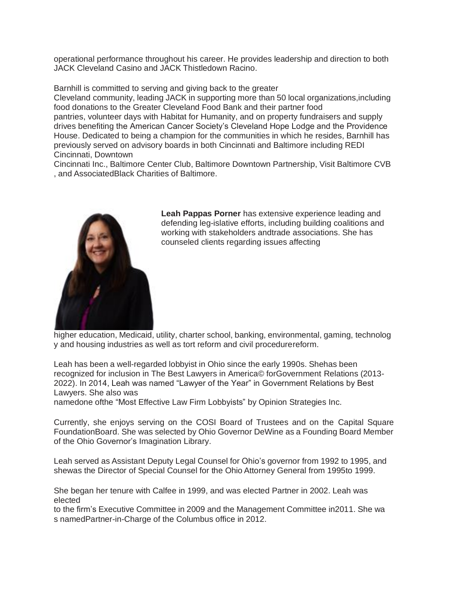operational performance throughout his career. He provides leadership and direction to both JACK Cleveland Casino and JACK Thistledown Racino.

Barnhill is committed to serving and giving back to the greater

Cleveland community, leading JACK in supporting more than 50 local organizations,including food donations to the Greater Cleveland Food Bank and their partner food

pantries, volunteer days with Habitat for Humanity, and on property fundraisers and supply drives benefiting the American Cancer Society's Cleveland Hope Lodge and the Providence House. Dedicated to being a champion for the communities in which he resides, Barnhill has previously served on advisory boards in both Cincinnati and Baltimore including REDI Cincinnati, Downtown

Cincinnati Inc., Baltimore Center Club, Baltimore Downtown Partnership, Visit Baltimore CVB , and AssociatedBlack Charities of Baltimore.



**Leah Pappas Porner** has extensive experience leading and defending leg-islative efforts, including building coalitions and working with stakeholders andtrade associations. She has counseled clients regarding issues affecting

higher education, Medicaid, utility, charter school, banking, environmental, gaming, technolog y and housing industries as well as tort reform and civil procedurereform.

Leah has been a well-regarded lobbyist in Ohio since the early 1990s. Shehas been recognized for inclusion in The Best Lawyers in America© forGovernment Relations (2013- 2022). In 2014, Leah was named "Lawyer of the Year" in Government Relations by Best Lawyers. She also was

namedone ofthe "Most Effective Law Firm Lobbyists" by Opinion Strategies Inc.

Currently, she enjoys serving on the COSI Board of Trustees and on the Capital Square FoundationBoard. She was selected by Ohio Governor DeWine as a Founding Board Member of the Ohio Governor's Imagination Library.

Leah served as Assistant Deputy Legal Counsel for Ohio's governor from 1992 to 1995, and shewas the Director of Special Counsel for the Ohio Attorney General from 1995to 1999.

She began her tenure with Calfee in 1999, and was elected Partner in 2002. Leah was elected

to the firm's Executive Committee in 2009 and the Management Committee in2011. She wa s namedPartner-in-Charge of the Columbus office in 2012.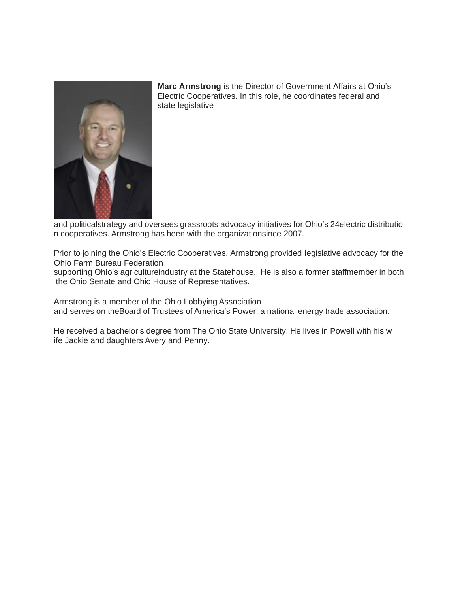

**Marc Armstrong** is the Director of Government Affairs at Ohio's Electric Cooperatives. In this role, he coordinates federal and state legislative

and politicalstrategy and oversees grassroots advocacy initiatives for Ohio's 24electric distributio n cooperatives. Armstrong has been with the organizationsince 2007.

Prior to joining the Ohio's Electric Cooperatives, Armstrong provided legislative advocacy for the Ohio Farm Bureau Federation

supporting Ohio's agricultureindustry at the Statehouse. He is also a former staffmember in both the Ohio Senate and Ohio House of Representatives.

Armstrong is a member of the Ohio Lobbying Association and serves on theBoard of Trustees of America's Power, a national energy trade association.

He received a bachelor's degree from The Ohio State University. He lives in Powell with his w ife Jackie and daughters Avery and Penny.